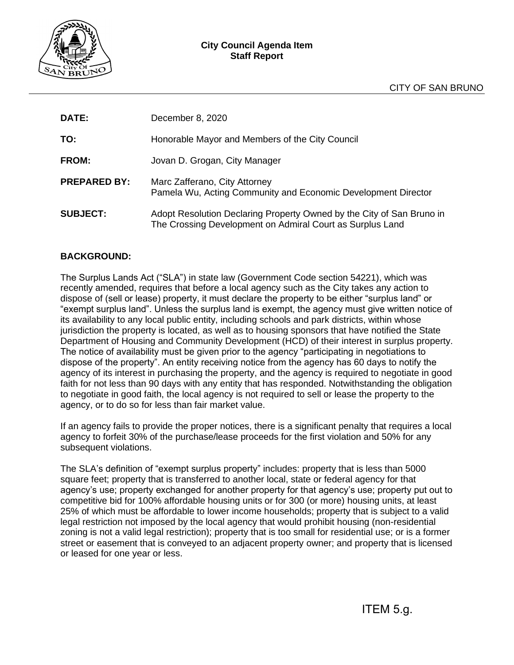

| <b>DATE:</b>        | December 8, 2020                                                                                                                   |
|---------------------|------------------------------------------------------------------------------------------------------------------------------------|
| TO:                 | Honorable Mayor and Members of the City Council                                                                                    |
| FROM:               | Jovan D. Grogan, City Manager                                                                                                      |
| <b>PREPARED BY:</b> | Marc Zafferano, City Attorney<br>Pamela Wu, Acting Community and Economic Development Director                                     |
| <b>SUBJECT:</b>     | Adopt Resolution Declaring Property Owned by the City of San Bruno in<br>The Crossing Development on Admiral Court as Surplus Land |

# **BACKGROUND:**

The Surplus Lands Act ("SLA") in state law (Government Code section 54221), which was recently amended, requires that before a local agency such as the City takes any action to dispose of (sell or lease) property, it must declare the property to be either "surplus land" or "exempt surplus land". Unless the surplus land is exempt, the agency must give written notice of its availability to any local public entity, including schools and park districts, within whose jurisdiction the property is located, as well as to housing sponsors that have notified the State Department of Housing and Community Development (HCD) of their interest in surplus property. The notice of availability must be given prior to the agency "participating in negotiations to dispose of the property". An entity receiving notice from the agency has 60 days to notify the agency of its interest in purchasing the property, and the agency is required to negotiate in good faith for not less than 90 days with any entity that has responded. Notwithstanding the obligation to negotiate in good faith, the local agency is not required to sell or lease the property to the agency, or to do so for less than fair market value.

If an agency fails to provide the proper notices, there is a significant penalty that requires a local agency to forfeit 30% of the purchase/lease proceeds for the first violation and 50% for any subsequent violations.

The SLA's definition of "exempt surplus property" includes: property that is less than 5000 square feet; property that is transferred to another local, state or federal agency for that agency's use; property exchanged for another property for that agency's use; property put out to competitive bid for 100% affordable housing units or for 300 (or more) housing units, at least 25% of which must be affordable to lower income households; property that is subject to a valid legal restriction not imposed by the local agency that would prohibit housing (non-residential zoning is not a valid legal restriction); property that is too small for residential use; or is a former street or easement that is conveyed to an adjacent property owner; and property that is licensed or leased for one year or less.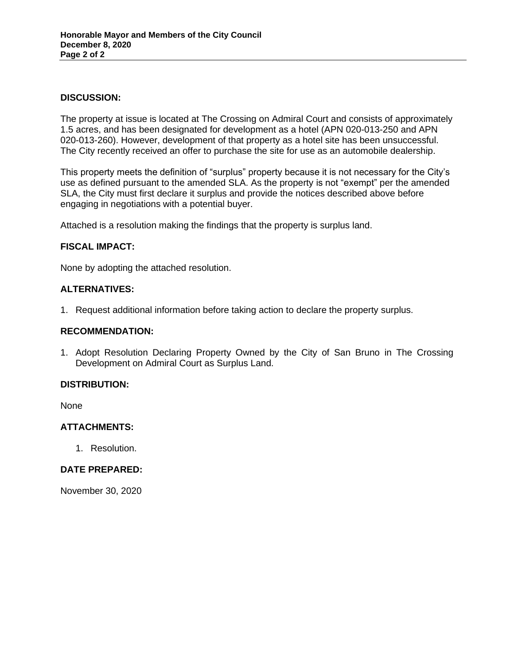### **DISCUSSION:**

The property at issue is located at The Crossing on Admiral Court and consists of approximately 1.5 acres, and has been designated for development as a hotel (APN 020-013-250 and APN 020-013-260). However, development of that property as a hotel site has been unsuccessful. The City recently received an offer to purchase the site for use as an automobile dealership.

This property meets the definition of "surplus" property because it is not necessary for the City's use as defined pursuant to the amended SLA. As the property is not "exempt" per the amended SLA, the City must first declare it surplus and provide the notices described above before engaging in negotiations with a potential buyer.

Attached is a resolution making the findings that the property is surplus land.

## **FISCAL IMPACT:**

None by adopting the attached resolution.

### **ALTERNATIVES:**

1. Request additional information before taking action to declare the property surplus.

#### **RECOMMENDATION:**

1. Adopt Resolution Declaring Property Owned by the City of San Bruno in The Crossing Development on Admiral Court as Surplus Land.

## **DISTRIBUTION:**

None

## **ATTACHMENTS:**

1. Resolution.

#### **DATE PREPARED:**

November 30, 2020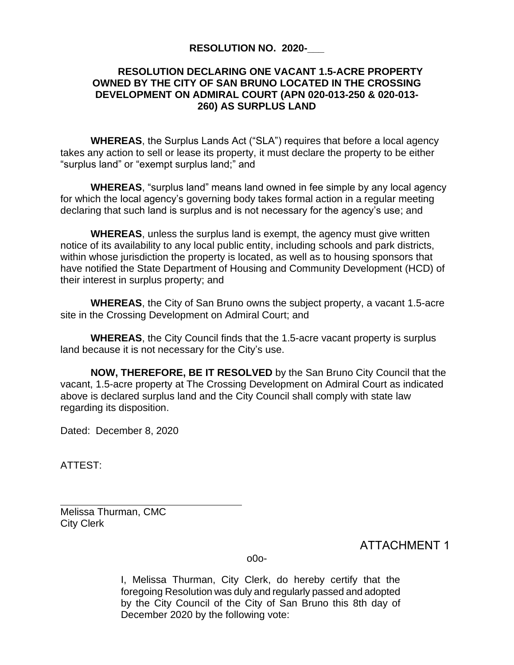# **RESOLUTION NO. 2020-\_\_\_**

# **RESOLUTION DECLARING ONE VACANT 1.5-ACRE PROPERTY OWNED BY THE CITY OF SAN BRUNO LOCATED IN THE CROSSING DEVELOPMENT ON ADMIRAL COURT (APN 020-013-250 & 020-013- 260) AS SURPLUS LAND**

**WHEREAS**, the Surplus Lands Act ("SLA") requires that before a local agency takes any action to sell or lease its property, it must declare the property to be either "surplus land" or "exempt surplus land;" and

**WHEREAS**, "surplus land" means land owned in fee simple by any local agency for which the local agency's governing body takes formal action in a regular meeting declaring that such land is surplus and is not necessary for the agency's use; and

**WHEREAS**, unless the surplus land is exempt, the agency must give written notice of its availability to any local public entity, including schools and park districts, within whose jurisdiction the property is located, as well as to housing sponsors that have notified the State Department of Housing and Community Development (HCD) of their interest in surplus property; and

**WHEREAS**, the City of San Bruno owns the subject property, a vacant 1.5-acre site in the Crossing Development on Admiral Court; and

**WHEREAS**, the City Council finds that the 1.5-acre vacant property is surplus land because it is not necessary for the City's use.

**NOW, THEREFORE, BE IT RESOLVED** by the San Bruno City Council that the vacant, 1.5-acre property at The Crossing Development on Admiral Court as indicated above is declared surplus land and the City Council shall comply with state law regarding its disposition.

Dated: December 8, 2020

ATTEST:

Melissa Thurman, CMC City Clerk

ATTACHMENT 1

o0o-

I, Melissa Thurman, City Clerk, do hereby certify that the foregoing Resolution was duly and regularly passed and adopted by the City Council of the City of San Bruno this 8th day of December 2020 by the following vote: